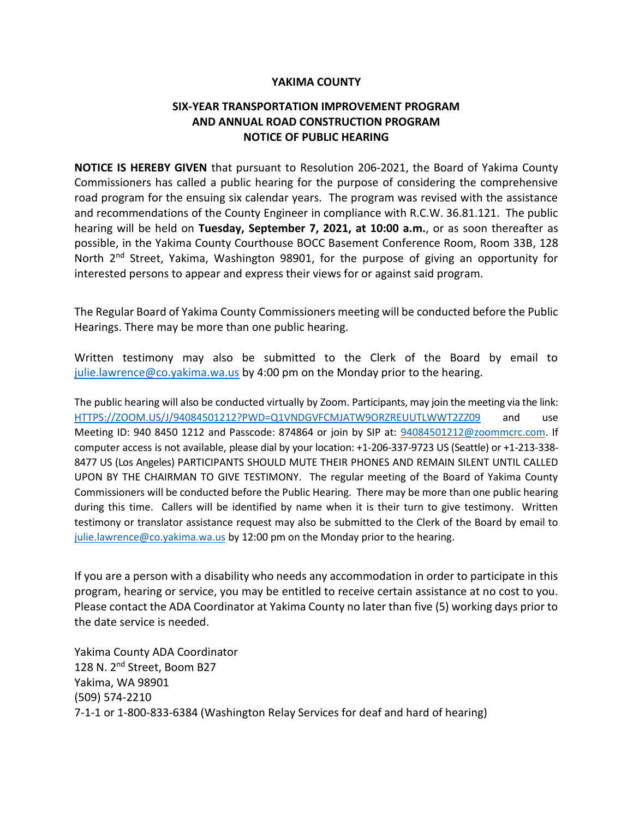## **YAKIMA COUNTY**

## **SIX-YEAR TRANSPORTATION IMPROVEMENT PROGRAM AND ANNUAL ROAD CONSTRUCTION PROGRAM NOTICE OF PUBLIC HEARING**

**NOTICE IS HEREBY GIVEN** that pursuant to Resolution 206-2021, the Board of Yakima County Commissioners has called a public hearing for the purpose of considering the comprehensive road program for the ensuing six calendar years. The program was revised with the assistance and recommendations of the County Engineer in compliance with R.C.W. 36.81.121. The public hearing will be held on **Tuesday, September 7, 2021, at 10:00 a.m.**, or as soon thereafter as possible, in the Yakima County Courthouse BOCC Basement Conference Room, Room 33B, 128 North 2<sup>nd</sup> Street, Yakima, Washington 98901, for the purpose of giving an opportunity for interested persons to appear and express their views for or against said program.

The Regular Board of Yakima County Commissioners meeting will be conducted before the Public Hearings. There may be more than one public hearing.

Written testimony may also be submitted to the Clerk of the Board by email to [julie.lawrence@co.yakima.wa.us](mailto:julie.lawrence@co.yakima.wa.us) by 4:00 pm on the Monday prior to the hearing.

The public hearing will also be conducted virtually by Zoom. Participants, may join the meeting via the link: [HTTPS://ZOOM.US/J/94084501212?PWD=Q1VNDGVFCMJATW9ORZREUUTLWWT2ZZ09](https://zoom.us/J/94084501212?PWD=Q1VNDGVFCMJATW9ORZREUUTLWWT2ZZ09) and use Meeting ID: 940 8450 1212 and Passcode: 874864 or join by SIP at: [94084501212@zoommcrc.com.](mailto:94084501212@zoommcrc.com) If computer access is not available, please dial by your location: +1-206-337-9723 US (Seattle) or +1-213-338- 8477 US (Los Angeles) PARTICIPANTS SHOULD MUTE THEIR PHONES AND REMAIN SILENT UNTIL CALLED UPON BY THE CHAIRMAN TO GIVE TESTIMONY. The regular meeting of the Board of Yakima County Commissioners will be conducted before the Public Hearing. There may be more than one public hearing during this time. Callers will be identified by name when it is their turn to give testimony. Written testimony or translator assistance request may also be submitted to the Clerk of the Board by email to [julie.lawrence@co.yakima.wa.us](mailto:Julie.lawrence@co.yakima.wa.us) by 12:00 pm on the Monday prior to the hearing.

If you are a person with a disability who needs any accommodation in order to participate in this program, hearing or service, you may be entitled to receive certain assistance at no cost to you. Please contact the ADA Coordinator at Yakima County no later than five (5) working days prior to the date service is needed.

Yakima County ADA Coordinator 128 N. 2<sup>nd</sup> Street, Boom B27 Yakima, WA 98901 (509) 574-2210 7-1-1 or 1-800-833-6384 (Washington Relay Services for deaf and hard of hearing)